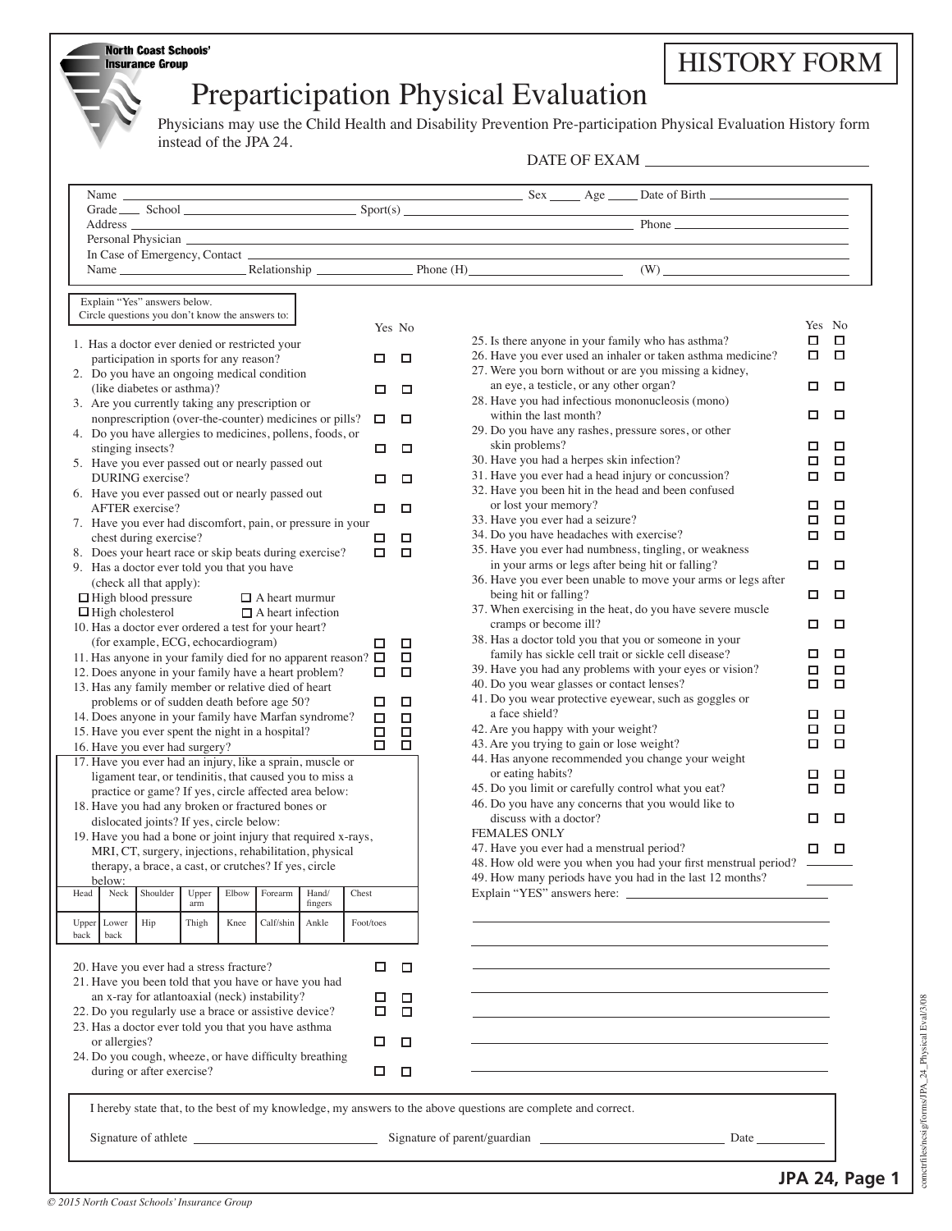| North Coast Schools    |  |  |
|------------------------|--|--|
| <b>Insurance Group</b> |  |  |

## HISTORY FORM

## Preparticipation Physical Evaluation

Physicians may use the Child Health and Disability Prevention Pre-participation Physical Evaluation History form instead of the JPA 24.

DATE OF EXAM

| Name Relationship Phone (H) (W)                                                                                                                                                                                                     |             |             |                                               |                                                                                                           |        |            |
|-------------------------------------------------------------------------------------------------------------------------------------------------------------------------------------------------------------------------------------|-------------|-------------|-----------------------------------------------|-----------------------------------------------------------------------------------------------------------|--------|------------|
| Explain "Yes" answers below.                                                                                                                                                                                                        |             |             |                                               |                                                                                                           |        |            |
| Circle questions you don't know the answers to:                                                                                                                                                                                     |             |             |                                               |                                                                                                           |        |            |
|                                                                                                                                                                                                                                     |             | Yes No      |                                               |                                                                                                           | Yes No |            |
| 1. Has a doctor ever denied or restricted your                                                                                                                                                                                      |             |             |                                               | 25. Is there anyone in your family who has asthma?                                                        | □      | □          |
| participation in sports for any reason?                                                                                                                                                                                             | □           | □           |                                               | 26. Have you ever used an inhaler or taken asthma medicine?                                               | □      | □          |
| 2. Do you have an ongoing medical condition                                                                                                                                                                                         |             |             |                                               | 27. Were you born without or are you missing a kidney,                                                    |        |            |
| (like diabetes or asthma)?                                                                                                                                                                                                          | □           | □           | an eye, a testicle, or any other organ?       |                                                                                                           | □      | □          |
| 3. Are you currently taking any prescription or                                                                                                                                                                                     |             |             | within the last month?                        | 28. Have you had infectious mononucleosis (mono)                                                          | □      | □          |
| nonprescription (over-the-counter) medicines or pills?                                                                                                                                                                              | □           | □           |                                               | 29. Do you have any rashes, pressure sores, or other                                                      |        |            |
| 4. Do you have allergies to medicines, pollens, foods, or<br>stinging insects?                                                                                                                                                      | □           | □           | skin problems?                                |                                                                                                           | □      | □          |
| 5. Have you ever passed out or nearly passed out                                                                                                                                                                                    |             |             | 30. Have you had a herpes skin infection?     |                                                                                                           | □      | □          |
| DURING exercise?                                                                                                                                                                                                                    | □           | □           |                                               | 31. Have you ever had a head injury or concussion?                                                        | □      | □          |
| 6. Have you ever passed out or nearly passed out                                                                                                                                                                                    |             |             |                                               | 32. Have you been hit in the head and been confused                                                       |        |            |
| AFTER exercise?                                                                                                                                                                                                                     | □           | □           | or lost your memory?                          |                                                                                                           | □      | □          |
| 7. Have you ever had discomfort, pain, or pressure in your                                                                                                                                                                          |             |             | 33. Have you ever had a seizure?              |                                                                                                           | □      | □          |
| chest during exercise?                                                                                                                                                                                                              | □           | $\Box$      | 34. Do you have headaches with exercise?      |                                                                                                           | □      | □          |
| 8. Does your heart race or skip beats during exercise?                                                                                                                                                                              | $\Box$      | $\Box$      |                                               | 35. Have you ever had numbness, tingling, or weakness<br>in your arms or legs after being hit or falling? | □      | □          |
| 9. Has a doctor ever told you that you have                                                                                                                                                                                         |             |             |                                               | 36. Have you ever been unable to move your arms or legs after                                             |        |            |
| (check all that apply):<br>$\Box$ High blood pressure<br>$\Box$ A heart murmur                                                                                                                                                      |             |             | being hit or falling?                         |                                                                                                           | □      | □          |
| $\Box$ High cholesterol<br>$\Box$ A heart infection                                                                                                                                                                                 |             |             |                                               | 37. When exercising in the heat, do you have severe muscle                                                |        |            |
| 10. Has a doctor ever ordered a test for your heart?                                                                                                                                                                                |             |             | cramps or become ill?                         |                                                                                                           | □      | □          |
| (for example, ECG, echocardiogram)                                                                                                                                                                                                  |             | □           |                                               | 38. Has a doctor told you that you or someone in your                                                     |        |            |
| 11. Has anyone in your family died for no apparent reason? □                                                                                                                                                                        |             | □           |                                               | family has sickle cell trait or sickle cell disease?                                                      | □      | □          |
| 12. Does anyone in your family have a heart problem?                                                                                                                                                                                | □           | □           |                                               | 39. Have you had any problems with your eyes or vision?                                                   | □      | О          |
| 13. Has any family member or relative died of heart                                                                                                                                                                                 |             |             | 40. Do you wear glasses or contact lenses?    | 41. Do you wear protective eyewear, such as goggles or                                                    | о      | □          |
| problems or of sudden death before age 50?                                                                                                                                                                                          | □           | □           | a face shield?                                |                                                                                                           | □      | □          |
| 14. Does anyone in your family have Marfan syndrome?<br>15. Have you ever spent the night in a hospital?                                                                                                                            | $\Box$<br>□ | □<br>$\Box$ | 42. Are you happy with your weight?           |                                                                                                           | □      | $\Box$     |
| 16. Have you ever had surgery?                                                                                                                                                                                                      | □           | □           | 43. Are you trying to gain or lose weight?    |                                                                                                           | □      | □          |
| 17. Have you ever had an injury, like a sprain, muscle or                                                                                                                                                                           |             |             |                                               | 44. Has anyone recommended you change your weight                                                         |        |            |
| ligament tear, or tendinitis, that caused you to miss a                                                                                                                                                                             |             |             | or eating habits?                             |                                                                                                           | □      | □          |
| practice or game? If yes, circle affected area below:                                                                                                                                                                               |             |             |                                               | 45. Do you limit or carefully control what you eat?                                                       | □      | □          |
| 18. Have you had any broken or fractured bones or                                                                                                                                                                                   |             |             |                                               | 46. Do you have any concerns that you would like to                                                       |        |            |
| dislocated joints? If yes, circle below:                                                                                                                                                                                            |             |             | discuss with a doctor?<br><b>FEMALES ONLY</b> |                                                                                                           | □      | □          |
| 19. Have you had a bone or joint injury that required x-rays,                                                                                                                                                                       |             |             | 47. Have you ever had a menstrual period?     |                                                                                                           | □      | □          |
| MRI, CT, surgery, injections, rehabilitation, physical<br>therapy, a brace, a cast, or crutches? If yes, circle                                                                                                                     |             |             |                                               | 48. How old were you when you had your first menstrual period? -                                          |        |            |
| helow and the same state of the state of the state of the state of the state of the state of the state of the state of the state of the state of the state of the state of the state of the state of the state of the state of      |             |             |                                               | 49. How many periods have you had in the last 12 months?                                                  |        |            |
| Shoulder<br>Upper<br>Elbow<br>Forearm<br>Hand/<br>Chest<br>Head<br>Neck                                                                                                                                                             |             |             | Explain "YES" answers here:                   |                                                                                                           |        |            |
| fingers<br>arm                                                                                                                                                                                                                      |             |             |                                               |                                                                                                           |        |            |
| Hip<br>Calf/shin<br>Upper Lower<br>Thigh<br>Knee<br>Ankle                                                                                                                                                                           | Foot/toes   |             |                                               |                                                                                                           |        |            |
| back<br>back                                                                                                                                                                                                                        |             |             |                                               |                                                                                                           |        |            |
| 20. Have you ever had a stress fracture?                                                                                                                                                                                            | □           | □           |                                               |                                                                                                           |        |            |
| 21. Have you been told that you have or have you had                                                                                                                                                                                |             |             |                                               |                                                                                                           |        |            |
| an x-ray for atlantoaxial (neck) instability?                                                                                                                                                                                       | □           | □           |                                               |                                                                                                           |        |            |
| 22. Do you regularly use a brace or assistive device?                                                                                                                                                                               | □           | □           |                                               |                                                                                                           |        |            |
| 23. Has a doctor ever told you that you have asthma                                                                                                                                                                                 |             |             |                                               |                                                                                                           |        |            |
| or allergies?                                                                                                                                                                                                                       | □           | □           |                                               |                                                                                                           |        |            |
| 24. Do you cough, wheeze, or have difficulty breathing                                                                                                                                                                              |             |             |                                               |                                                                                                           |        |            |
| during or after exercise?                                                                                                                                                                                                           | □           | □           |                                               |                                                                                                           |        |            |
|                                                                                                                                                                                                                                     |             |             |                                               |                                                                                                           |        |            |
| I hereby state that, to the best of my knowledge, my answers to the above questions are complete and correct.                                                                                                                       |             |             |                                               |                                                                                                           |        |            |
| Signature of athlete <u>Signature of parent/guardian</u> Signature of parent/guardian Date Date Discoverse and Date Discoverse and Discoverse and Discoverse and Discoverse and Discoverse and Discoverse and Discoverse and Discov |             |             |                                               |                                                                                                           |        |            |
|                                                                                                                                                                                                                                     |             |             |                                               |                                                                                                           |        |            |
|                                                                                                                                                                                                                                     |             |             |                                               |                                                                                                           |        |            |
|                                                                                                                                                                                                                                     |             |             |                                               |                                                                                                           |        | IDA 2A 222 |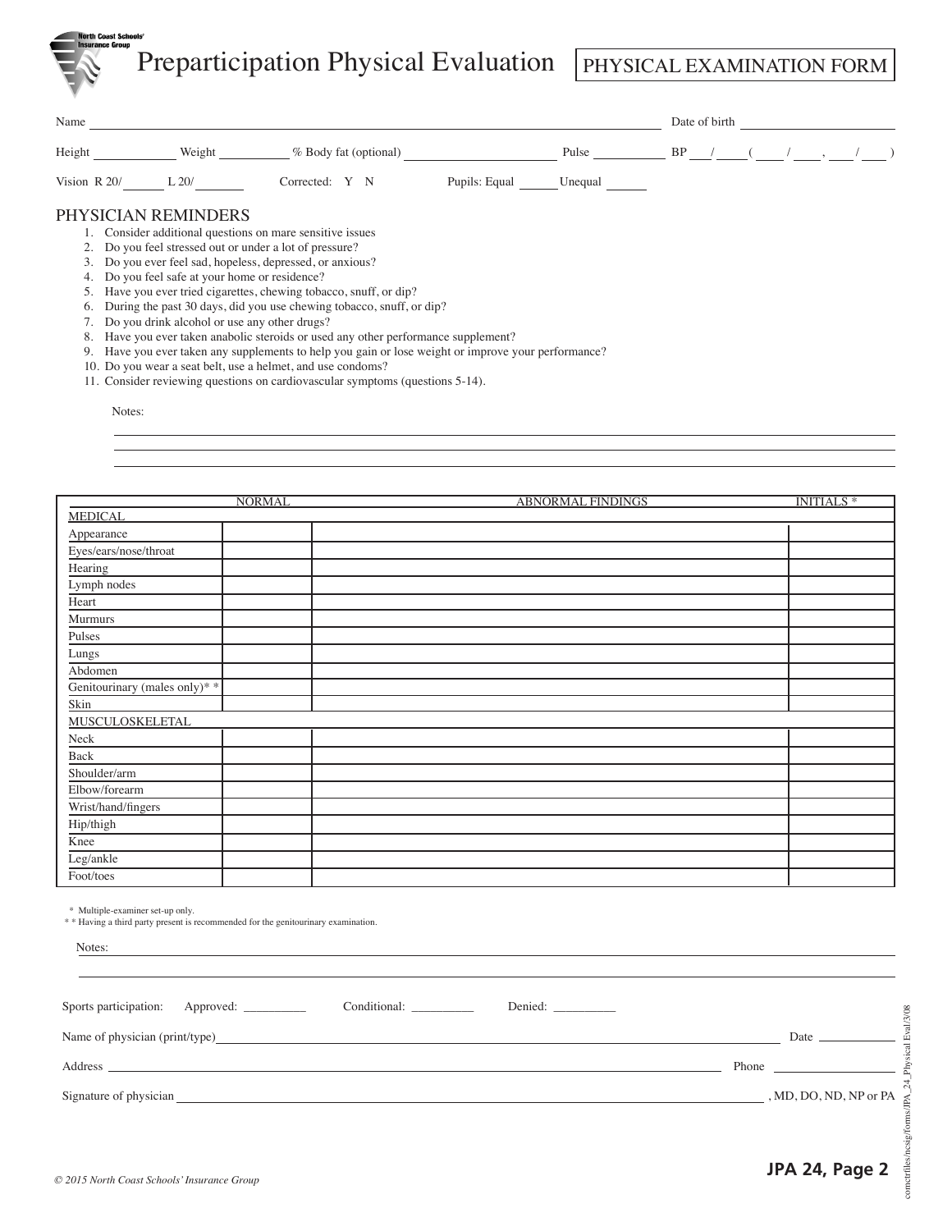Preparticipation Physical Evaluation PHYSICAL EXAMINATION FORM

| Name           |                                                                                                                                                                                                                                                                                                                                                                                              |         |    | Date of birth |  |  |  |
|----------------|----------------------------------------------------------------------------------------------------------------------------------------------------------------------------------------------------------------------------------------------------------------------------------------------------------------------------------------------------------------------------------------------|---------|----|---------------|--|--|--|
| Height         | Weight<br>% Body fat (optional)                                                                                                                                                                                                                                                                                                                                                              | Pulse   | BP |               |  |  |  |
| Vision $R$ 20/ | L20/<br>Pupils: Equal<br>Corrected: Y N                                                                                                                                                                                                                                                                                                                                                      | Unequal |    |               |  |  |  |
|                | PHYSICIAN REMINDERS<br>1. Consider additional questions on mare sensitive issues<br>Do you feel stressed out or under a lot of pressure?<br>Do you ever feel sad, hopeless, depressed, or anxious?<br>Do you feel safe at your home or residence?<br>Have you ever tried cigarettes, chewing tobacco, snuff, or dip?<br>During the past 30 days, did you use chewing tobacco, snuff, or dip? |         |    |               |  |  |  |
| 8.<br>9.       | Do you drink alcohol or use any other drugs?<br>Have you ever taken anabolic steroids or used any other performance supplement?<br>Have you ever taken any supplements to help you gain or lose weight or improve your performance?<br>10. Do you wear a seat belt, use a helmet, and use condoms?                                                                                           |         |    |               |  |  |  |

11. Consider reviewing questions on cardiovascular symptoms (questions 5-14).

Notes:

|                               | <b>NORMAL</b> | <b>ABNORMAL FINDINGS</b> | <b>INITIALS*</b> |
|-------------------------------|---------------|--------------------------|------------------|
| <b>MEDICAL</b>                |               |                          |                  |
| Appearance                    |               |                          |                  |
| Eyes/ears/nose/throat         |               |                          |                  |
| Hearing                       |               |                          |                  |
| Lymph nodes                   |               |                          |                  |
| Heart                         |               |                          |                  |
| Murmurs                       |               |                          |                  |
| Pulses                        |               |                          |                  |
| Lungs                         |               |                          |                  |
| Abdomen                       |               |                          |                  |
| Genitourinary (males only)* * |               |                          |                  |
| Skin                          |               |                          |                  |
| <b>MUSCULOSKELETAL</b>        |               |                          |                  |
| ${\rm Neck}$                  |               |                          |                  |
| $\operatorname{Back}$         |               |                          |                  |
| Shoulder/arm                  |               |                          |                  |
| Elbow/forearm                 |               |                          |                  |
| Wrist/hand/fingers            |               |                          |                  |
| Hip/thigh                     |               |                          |                  |
| Knee                          |               |                          |                  |
| Leg/ankle                     |               |                          |                  |
| Foot/toes                     |               |                          |                  |

\* Multiple-examiner set-up only.

\* Having a third party present is recommended for the genitourinary examination.

| Notes:                                                    |                                                                                                                                                                                                                               |
|-----------------------------------------------------------|-------------------------------------------------------------------------------------------------------------------------------------------------------------------------------------------------------------------------------|
| Sports participation: Approved: _________<br>Conditional: |                                                                                                                                                                                                                               |
|                                                           | Date and the same state of the state of the state of the state of the state of the state of the state of the state of the state of the state of the state of the state of the state of the state of the state of the state of |
|                                                           | <b>Phone</b> Phone                                                                                                                                                                                                            |
| Signature of physician Signature of physician             | , MD, DO, ND, NP or PA                                                                                                                                                                                                        |